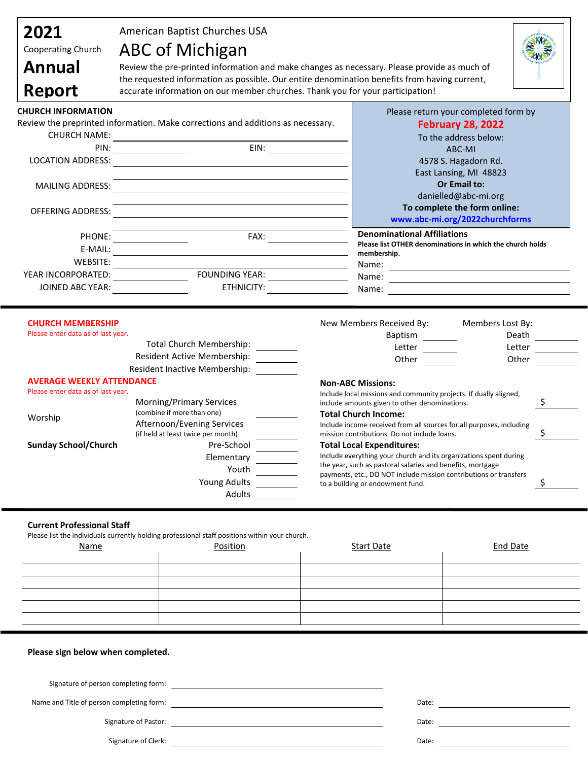| 2021<br>Cooperating Church<br><b>Annual</b><br>Report                             | American Baptist Churches USA<br><b>ABC of Michigan</b><br>accurate information on our member churches. Thank you for your participation! | Review the pre-printed information and make changes as necessary. Please provide as much of<br>the requested information as possible. Our entire denomination benefits from having current,                                                                                                                                                                                                                                                                                                                                                                                                             |  |
|-----------------------------------------------------------------------------------|-------------------------------------------------------------------------------------------------------------------------------------------|---------------------------------------------------------------------------------------------------------------------------------------------------------------------------------------------------------------------------------------------------------------------------------------------------------------------------------------------------------------------------------------------------------------------------------------------------------------------------------------------------------------------------------------------------------------------------------------------------------|--|
| <b>CHURCH INFORMATION</b><br><b>CHURCH NAME:</b><br>PIN:                          | Review the preprinted information. Make corrections and additions as necessary.<br>EIN:                                                   | Please return your completed form by<br><b>February 28, 2022</b><br>To the address below:<br>ABC-MI                                                                                                                                                                                                                                                                                                                                                                                                                                                                                                     |  |
| <b>LOCATION ADDRESS:</b><br>MAILING ADDRESS:<br><b>OFFERING ADDRESS:</b>          |                                                                                                                                           | 4578 S. Hagadorn Rd.<br>East Lansing, MI 48823<br>Or Email to:<br>danielled@abc-mi.org<br>To complete the form online:<br>www.abc-mi.org/2022churchforms                                                                                                                                                                                                                                                                                                                                                                                                                                                |  |
| PHONE:<br>E-MAIL:<br>WEBSITE:                                                     | FAX:                                                                                                                                      | <b>Denominational Affiliations</b><br>Please list OTHER denominations in which the church holds<br>membership.<br>Name:                                                                                                                                                                                                                                                                                                                                                                                                                                                                                 |  |
| YEAR INCORPORATED:<br>JOINED ABC YEAR:                                            | <b>FOUNDING YEAR:</b><br>ETHNICITY:                                                                                                       | <u> 1989 - Johann Barn, amerikansk politiker (d. 1989)</u><br>Name:<br><u> 1989 - Johann Barn, mars ann an t-Amhain Aonaich an t-Aonaich an t-Aonaich an t-Aonaich an t-Aonaich an t-Aon</u><br>Name:                                                                                                                                                                                                                                                                                                                                                                                                   |  |
| <b>CHURCH MEMBERSHIP</b><br>Please enter data as of last year.                    | <b>Total Church Membership:</b><br>Resident Active Membership:<br><b>Resident Inactive Membership:</b>                                    | New Members Received By:<br>Members Lost By:<br>Baptism<br>Death<br>Letter<br>Letter<br>Other<br>Other                                                                                                                                                                                                                                                                                                                                                                                                                                                                                                  |  |
| <b>AVERAGE WEEKLY ATTENDANCE</b><br>Please enter data as of last year.<br>Worship | <b>Morning/Primary Services</b><br>(combine if more than one)<br>Afternoon/Evening Services                                               | <b>Non-ABC Missions:</b><br>Include local missions and community projects. If dually aligned,<br>\$<br>include amounts given to other denominations.<br><b>Total Church Income:</b><br>Include income received from all sources for all purposes, including<br>\$<br>mission contributions. Do not include loans.<br><b>Total Local Expenditures:</b><br>Include everything your church and its organizations spent during<br>the year, such as pastoral salaries and benefits, mortgage<br>payments, etc., DO NOT include mission contributions or transfers<br>\$<br>to a building or endowment fund. |  |
| <b>Sunday School/Church</b>                                                       | (if held at least twice per month)<br>Pre-School<br>Elementary                                                                            |                                                                                                                                                                                                                                                                                                                                                                                                                                                                                                                                                                                                         |  |

## **Current Professional Staff**

Please list the individuals currently holding professional staff positions within your church.

| <u>Name</u> | Position | <b>Start Date</b> | <b>End Date</b> |
|-------------|----------|-------------------|-----------------|
|             |          |                   |                 |
|             |          |                   |                 |
|             |          |                   |                 |
|             |          |                   |                 |
|             |          |                   |                 |
|             |          |                   |                 |
|             |          |                   |                 |

| Please sign below when completed.         |       |  |
|-------------------------------------------|-------|--|
|                                           |       |  |
| Signature of person completing form:      |       |  |
| Name and Title of person completing form: | Date: |  |
| Signature of Pastor:                      | Date: |  |

Signature of Clerk: Date: